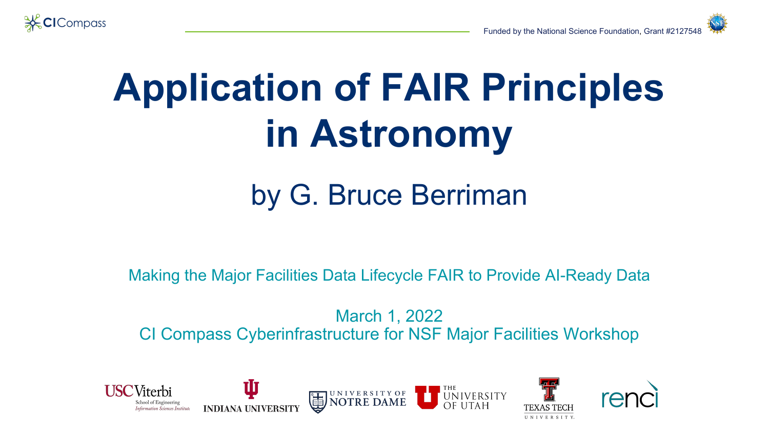

## **Application of FAIR Principles in Astronomy**

### by G. Bruce Berriman

Making the Major Facilities Data Lifecycle FAIR to Provide AI-Ready Data

March 1, 2022 CI Compass Cyberinfrastructure for NSF Major Facilities Workshop

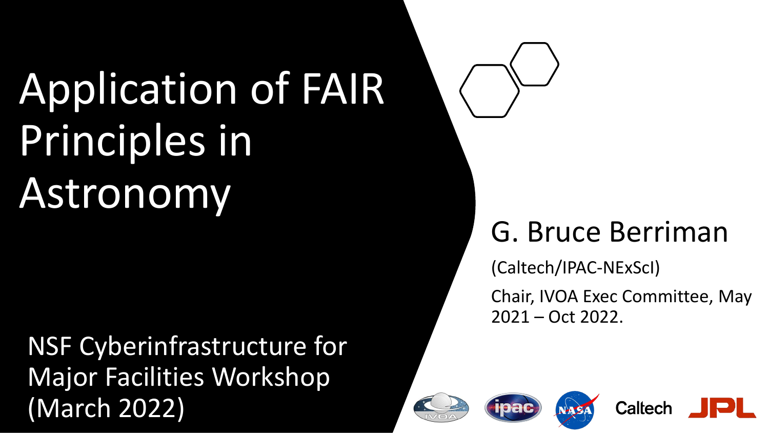# Application of FAIR Principles in Astronomy

NSF Cyberinfrastructure for Major Facilities Workshop (March 2022)



(Caltech/IPAC-NExScI)

Chair, IVOA Exec Committee, May 2021 – Oct 2022.

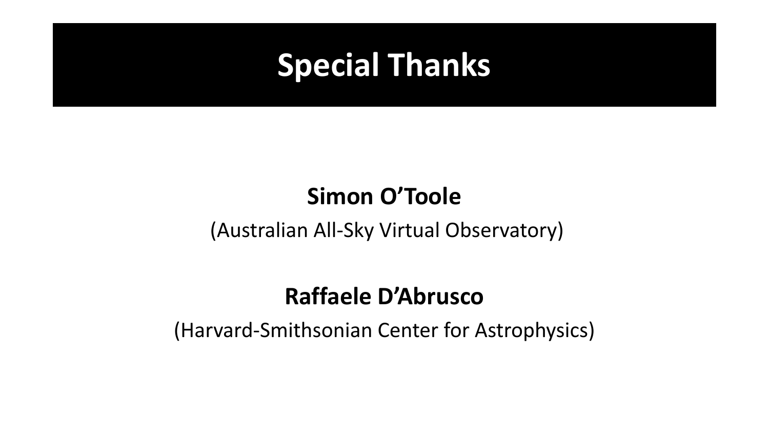### **Special Thanks**

### **Simon O'Toole**

#### (Australian All-Sky Virtual Observatory)

### **Raffaele D'Abrusco**

(Harvard-Smithsonian Center for Astrophysics)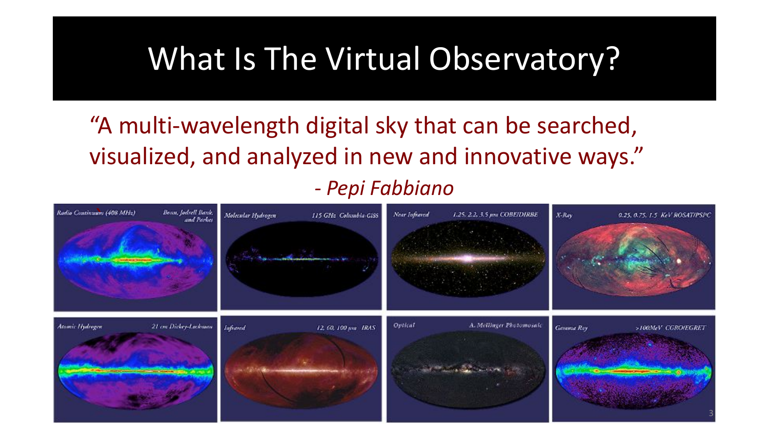### What Is The Virtual Observatory?

"A multi-wavelength digital sky that can be searched, visualized, and analyzed in new and innovative ways." *- Pepi Fabbiano*

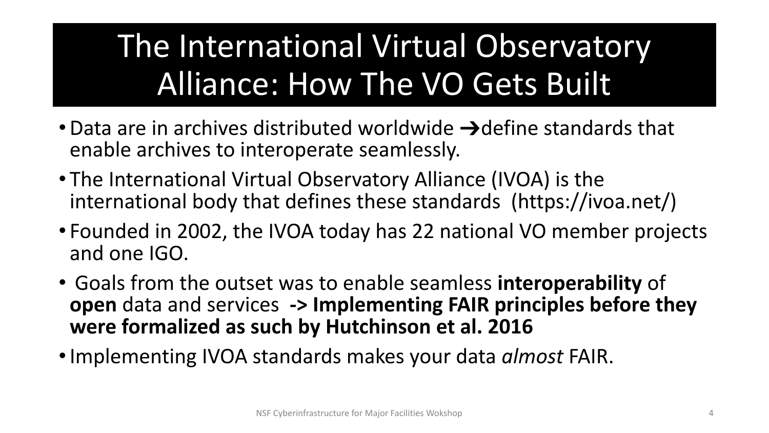## The International Virtual Observatory Alliance: How The VO Gets Built

- Data are in archives distributed worldwide  $\rightarrow$ define standards that enable archives to interoperate seamlessly.
- The International Virtual Observatory Alliance (IVOA) is the international body that defines these standards (https://ivoa.net/)
- Founded in 2002, the IVOA today has 22 national VO member projects and one IGO.
- Goals from the outset was to enable seamless **interoperability** of **open** data and services **-> Implementing FAIR principles before they were formalized as such by Hutchinson et al. 2016**
- •Implementing IVOA standards makes your data *almost* FAIR.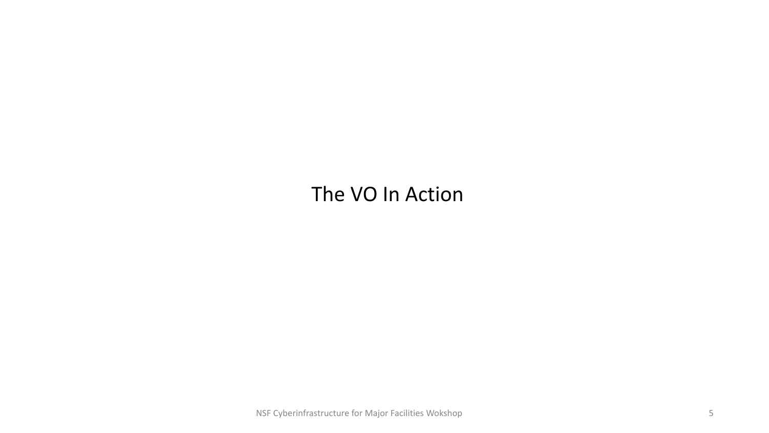#### The VO In Action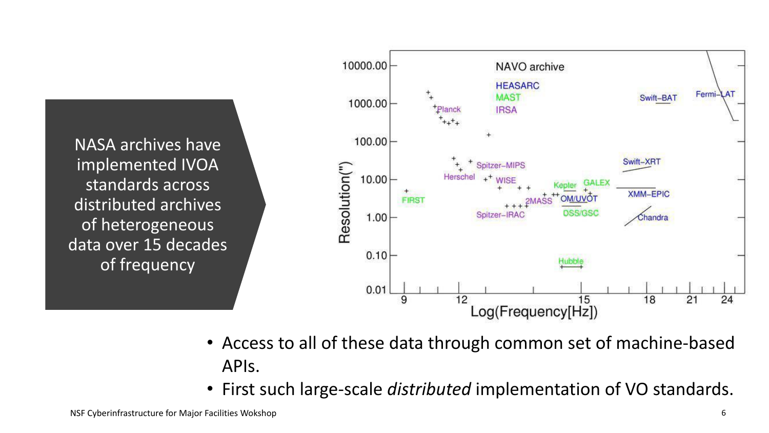NASA archives have implemented IVOA standards across distributed archives of heterogeneous data over 15 decades of frequency



- Access to all of these data through common set of machine-based APIs.
- First such large-scale *distributed* implementation of VO standards.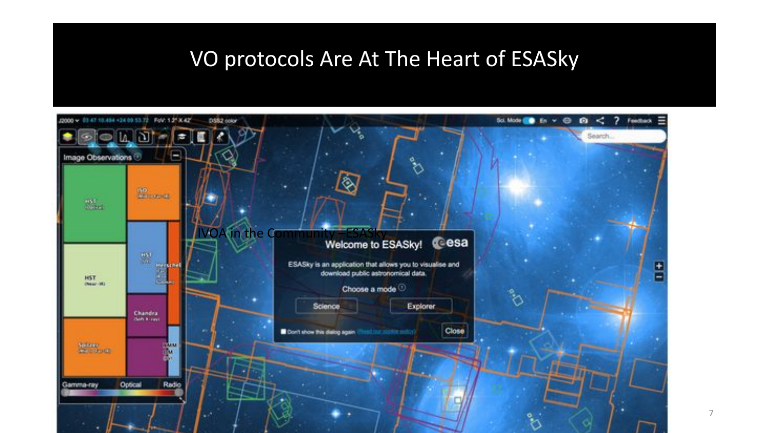#### VO protocols Are At The Heart of ESASky

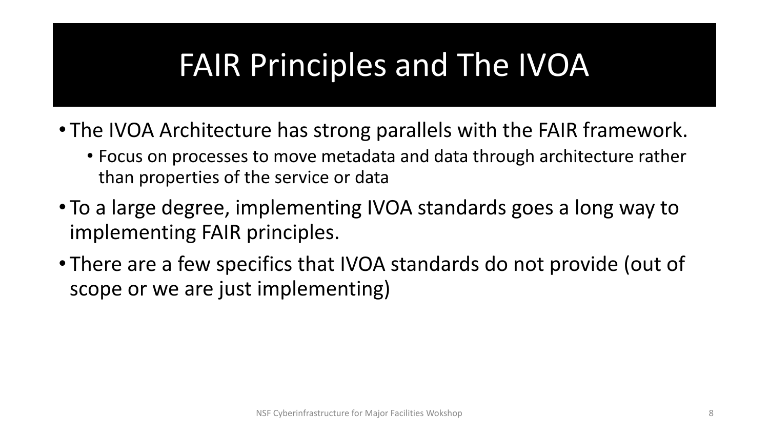### FAIR Principles and The IVOA

- The IVOA Architecture has strong parallels with the FAIR framework.
	- Focus on processes to move metadata and data through architecture rather than properties of the service or data
- To a large degree, implementing IVOA standards goes a long way to implementing FAIR principles.
- There are a few specifics that IVOA standards do not provide (out of scope or we are just implementing)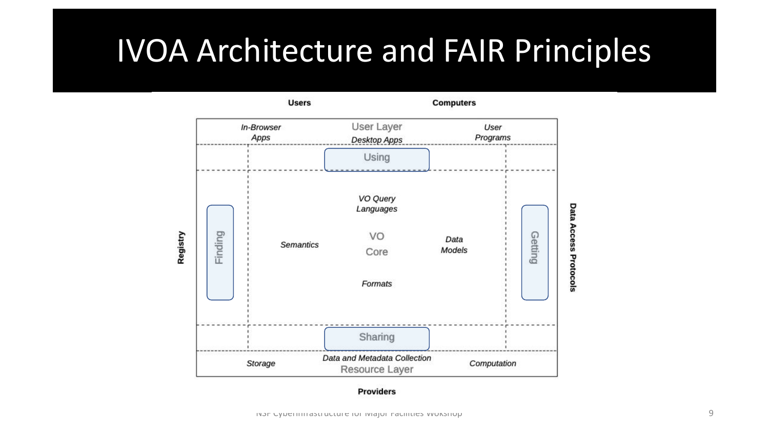### IVOA Architecture and FAIR Principles

**Computers** 

**Users** 

User Layer In-Browser User Apps Programs **Desktop Apps** Using VO Query Data Languages Access Protocols Finding Registry Getting VO Data **Semantics** Models Core Formats Sharing Data and Metadata Collection Storage Computation Resource Layer

#### **Providers**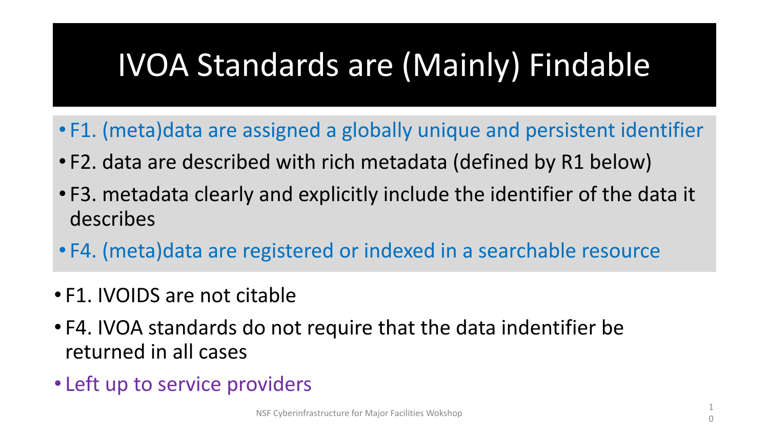### IVOA Standards are (Mainly) Findable

- F1. (meta)data are assigned a globally unique and persistent identifier
- F2. data are described with rich metadata (defined by R1 below)
- F3. metadata clearly and explicitly include the identifier of the data it describes
- F4. (meta)data are registered or indexed in a searchable resource
- F1. IVOIDS are not citable
- F4. IVOA standards do not require that the data indentifier be returned in all cases
- Left up to service providers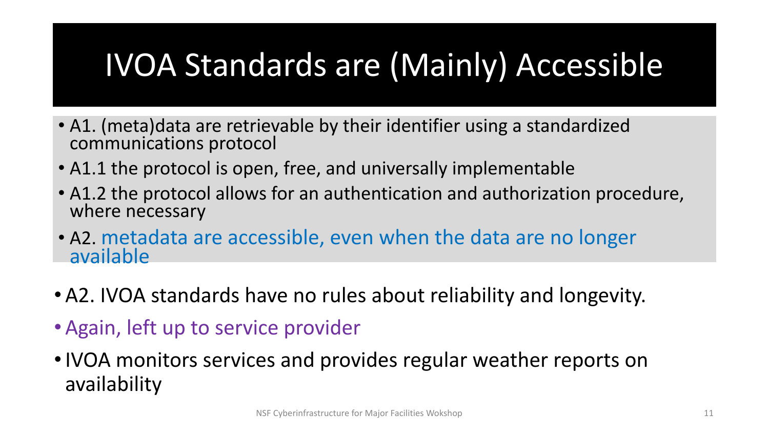## IVOA Standards are (Mainly) Accessible

- A1. (meta)data are retrievable by their identifier using a standardized communications protocol
- A1.1 the protocol is open, free, and universally implementable
- A1.2 the protocol allows for an authentication and authorization procedure, where necessary
- A2. metadata are accessible, even when the data are no longer available
- •A2. IVOA standards have no rules about reliability and longevity.
- •Again, left up to service provider
- •IVOA monitors services and provides regular weather reports on availability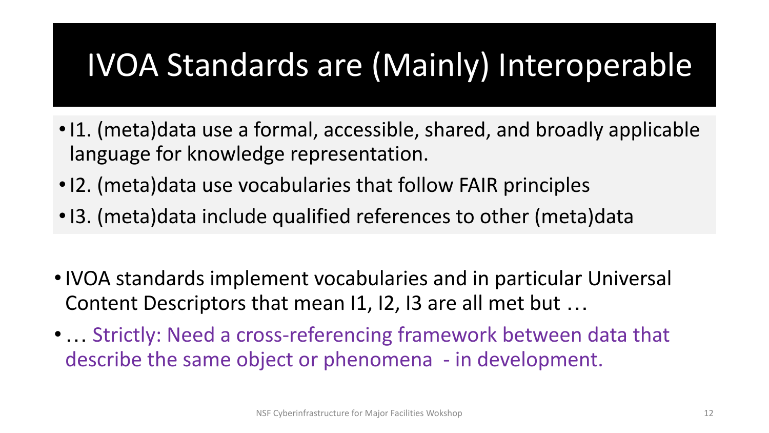### IVOA Standards are (Mainly) Interoperable

- •I1. (meta)data use a formal, accessible, shared, and broadly applicable language for knowledge representation.
- •I2. (meta)data use vocabularies that follow FAIR principles
- •I3. (meta)data include qualified references to other (meta)data
- •IVOA standards implement vocabularies and in particular Universal Content Descriptors that mean I1, I2, I3 are all met but …
- •… Strictly: Need a cross-referencing framework between data that describe the same object or phenomena - in development.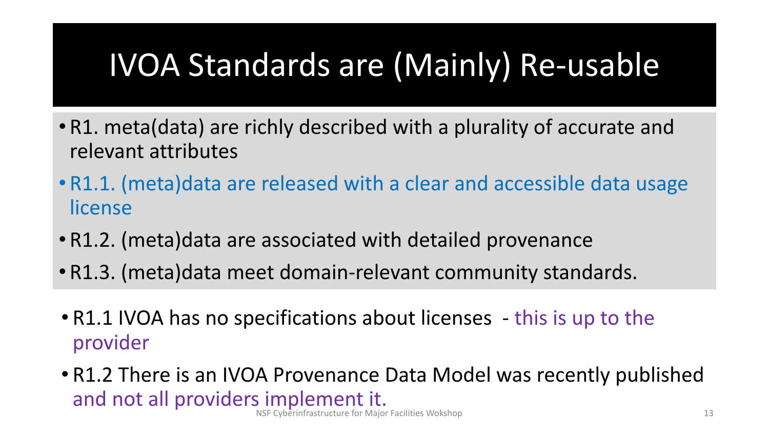### IVOA Standards are (Mainly) Re-usable

- R1. meta(data) are richly described with a plurality of accurate and relevant attributes
- R1.1. (meta)data are released with a clear and accessible data usage license
- R1.2. (meta)data are associated with detailed provenance
- R1.3. (meta)data meet domain-relevant community standards.
- R1.1 IVOA has no specifications about licenses this is up to the provider
- Cyberinfrastructure for Major Facilities Wokshop • R1.2 There is an IVOA Provenance Data Model was recently published and not all providers implement it.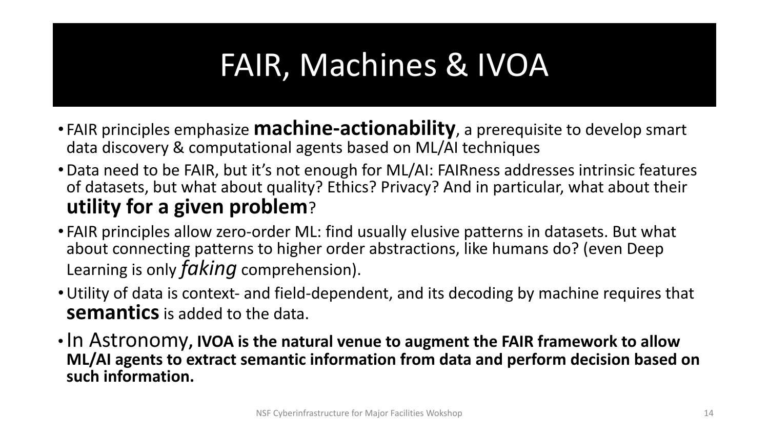### FAIR, Machines & IVOA

- FAIR principles emphasize **machine-actionability**, a prerequisite to develop smart data discovery & computational agents based on ML/AI techniques
- •Data need to be FAIR, but it's not enough for ML/AI: FAIRness addresses intrinsic features of datasets, but what about quality? Ethics? Privacy? And in particular, what about their **utility for a given problem**?
- FAIR principles allow zero-order ML: find usually elusive patterns in datasets. But what about connecting patterns to higher order abstractions, like humans do? (even Deep Learning is only *faking* comprehension).
- •Utility of data is context- and field-dependent, and its decoding by machine requires that **semantics** is added to the data.
- •In Astronomy**, IVOA is the natural venue to augment the FAIR framework to allow ML/AI agents to extract semantic information from data and perform decision based on such information.**